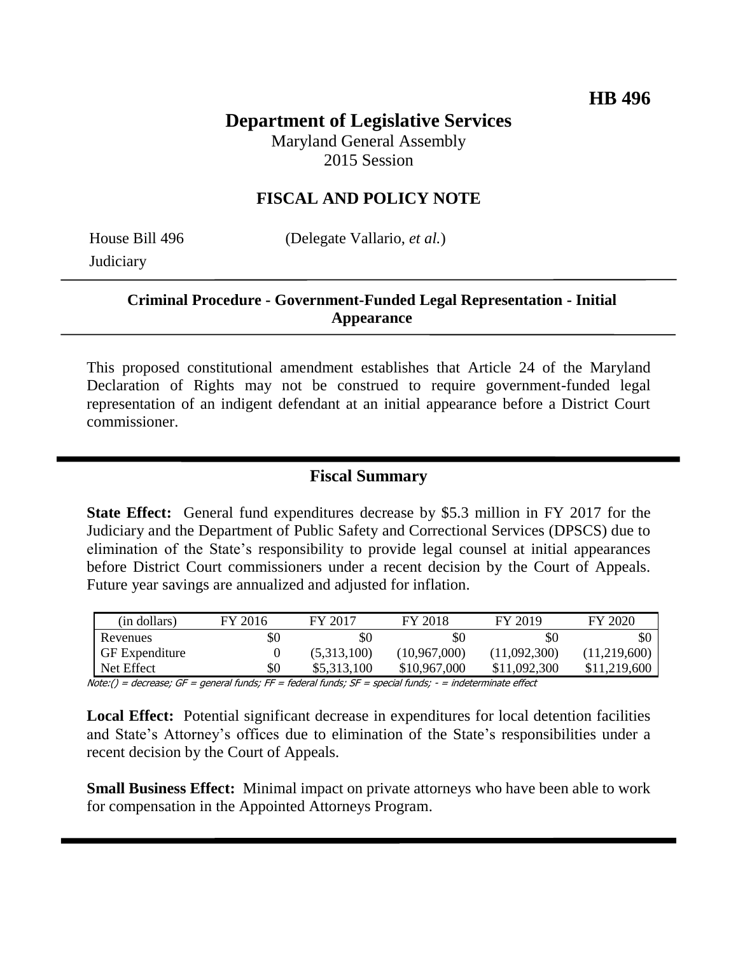# **Department of Legislative Services**

Maryland General Assembly 2015 Session

## **FISCAL AND POLICY NOTE**

**Judiciary** 

House Bill 496 (Delegate Vallario, *et al.*)

## **Criminal Procedure - Government-Funded Legal Representation - Initial Appearance**

This proposed constitutional amendment establishes that Article 24 of the Maryland Declaration of Rights may not be construed to require government-funded legal representation of an indigent defendant at an initial appearance before a District Court commissioner.

## **Fiscal Summary**

**State Effect:** General fund expenditures decrease by \$5.3 million in FY 2017 for the Judiciary and the Department of Public Safety and Correctional Services (DPSCS) due to elimination of the State's responsibility to provide legal counsel at initial appearances before District Court commissioners under a recent decision by the Court of Appeals. Future year savings are annualized and adjusted for inflation.

| (in dollars)          | FY 2016 | FY 2017     | FY 2018        | FY 2019      | FY 2020      |
|-----------------------|---------|-------------|----------------|--------------|--------------|
| Revenues              | \$0     | \$0         | \$0            | \$0          | \$0          |
| <b>GF</b> Expenditure |         | (5,313,100) | (10, 967, 000) | (11,092,300) | (11,219,600) |
| Net Effect            | \$0     | \$5,313,100 | \$10,967,000   | \$11,092,300 | \$11,219,600 |

Note:() = decrease; GF = general funds; FF = federal funds; SF = special funds; - = indeterminate effect

**Local Effect:** Potential significant decrease in expenditures for local detention facilities and State's Attorney's offices due to elimination of the State's responsibilities under a recent decision by the Court of Appeals.

**Small Business Effect:** Minimal impact on private attorneys who have been able to work for compensation in the Appointed Attorneys Program.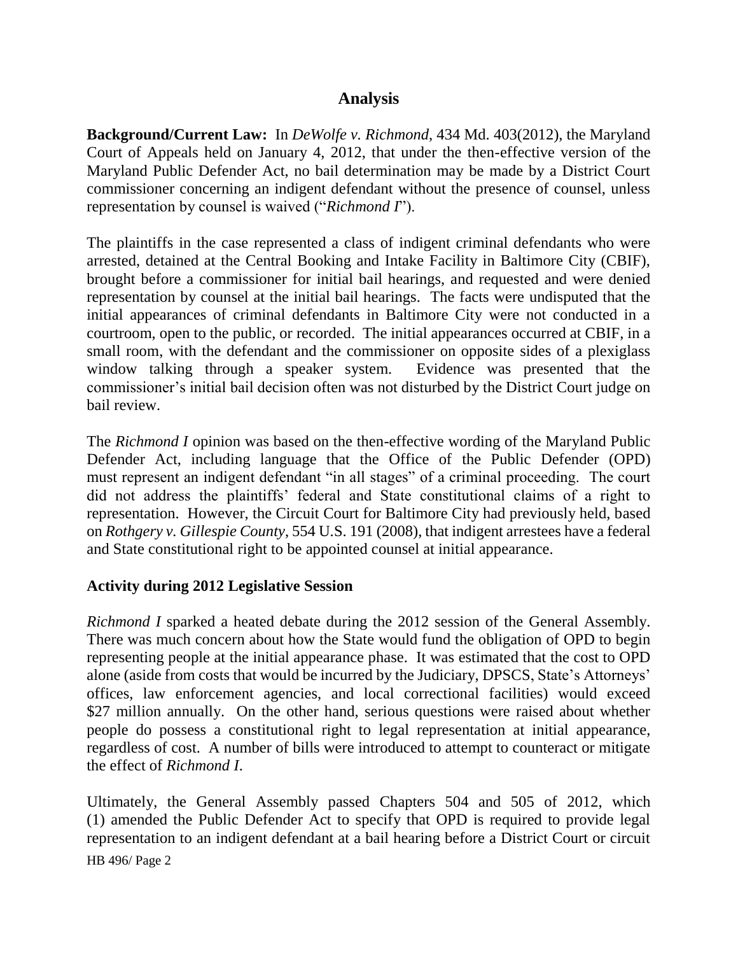## **Analysis**

**Background/Current Law:** In *DeWolfe v. Richmond*, 434 Md. 403(2012), the Maryland Court of Appeals held on January 4, 2012, that under the then-effective version of the Maryland Public Defender Act, no bail determination may be made by a District Court commissioner concerning an indigent defendant without the presence of counsel, unless representation by counsel is waived ("*Richmond I*").

The plaintiffs in the case represented a class of indigent criminal defendants who were arrested, detained at the Central Booking and Intake Facility in Baltimore City (CBIF), brought before a commissioner for initial bail hearings, and requested and were denied representation by counsel at the initial bail hearings. The facts were undisputed that the initial appearances of criminal defendants in Baltimore City were not conducted in a courtroom, open to the public, or recorded. The initial appearances occurred at CBIF, in a small room, with the defendant and the commissioner on opposite sides of a plexiglass window talking through a speaker system. Evidence was presented that the commissioner's initial bail decision often was not disturbed by the District Court judge on bail review.

The *Richmond I* opinion was based on the then-effective wording of the Maryland Public Defender Act, including language that the Office of the Public Defender (OPD) must represent an indigent defendant "in all stages" of a criminal proceeding. The court did not address the plaintiffs' federal and State constitutional claims of a right to representation. However, the Circuit Court for Baltimore City had previously held, based on *Rothgery v. Gillespie County*, 554 U.S. 191 (2008), that indigent arrestees have a federal and State constitutional right to be appointed counsel at initial appearance.

### **Activity during 2012 Legislative Session**

*Richmond I* sparked a heated debate during the 2012 session of the General Assembly. There was much concern about how the State would fund the obligation of OPD to begin representing people at the initial appearance phase. It was estimated that the cost to OPD alone (aside from costs that would be incurred by the Judiciary, DPSCS, State's Attorneys' offices, law enforcement agencies, and local correctional facilities) would exceed \$27 million annually. On the other hand, serious questions were raised about whether people do possess a constitutional right to legal representation at initial appearance, regardless of cost. A number of bills were introduced to attempt to counteract or mitigate the effect of *Richmond I*.

Ultimately, the General Assembly passed Chapters 504 and 505 of 2012, which (1) amended the Public Defender Act to specify that OPD is required to provide legal representation to an indigent defendant at a bail hearing before a District Court or circuit

HB 496/ Page 2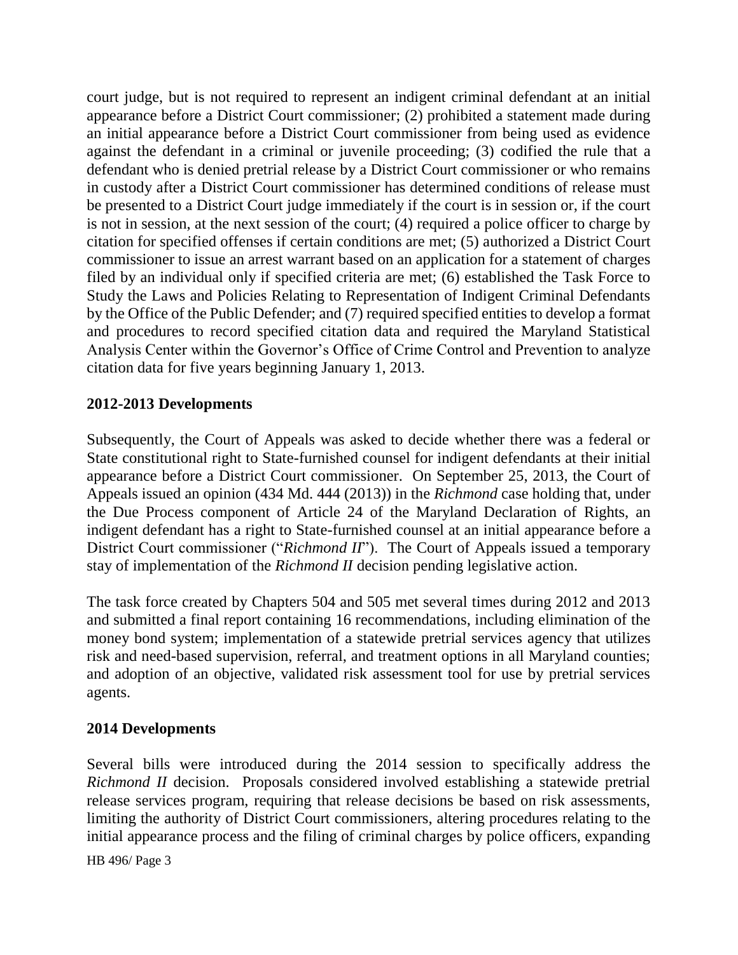court judge, but is not required to represent an indigent criminal defendant at an initial appearance before a District Court commissioner; (2) prohibited a statement made during an initial appearance before a District Court commissioner from being used as evidence against the defendant in a criminal or juvenile proceeding; (3) codified the rule that a defendant who is denied pretrial release by a District Court commissioner or who remains in custody after a District Court commissioner has determined conditions of release must be presented to a District Court judge immediately if the court is in session or, if the court is not in session, at the next session of the court; (4) required a police officer to charge by citation for specified offenses if certain conditions are met; (5) authorized a District Court commissioner to issue an arrest warrant based on an application for a statement of charges filed by an individual only if specified criteria are met; (6) established the Task Force to Study the Laws and Policies Relating to Representation of Indigent Criminal Defendants by the Office of the Public Defender; and (7) required specified entities to develop a format and procedures to record specified citation data and required the Maryland Statistical Analysis Center within the Governor's Office of Crime Control and Prevention to analyze citation data for five years beginning January 1, 2013.

### **2012-2013 Developments**

Subsequently, the Court of Appeals was asked to decide whether there was a federal or State constitutional right to State-furnished counsel for indigent defendants at their initial appearance before a District Court commissioner. On September 25, 2013, the Court of Appeals issued an opinion (434 Md. 444 (2013)) in the *Richmond* case holding that, under the Due Process component of Article 24 of the Maryland Declaration of Rights, an indigent defendant has a right to State-furnished counsel at an initial appearance before a District Court commissioner ("*Richmond II*"). The Court of Appeals issued a temporary stay of implementation of the *Richmond II* decision pending legislative action.

The task force created by Chapters 504 and 505 met several times during 2012 and 2013 and submitted a final report containing 16 recommendations, including elimination of the money bond system; implementation of a statewide pretrial services agency that utilizes risk and need-based supervision, referral, and treatment options in all Maryland counties; and adoption of an objective, validated risk assessment tool for use by pretrial services agents.

### **2014 Developments**

Several bills were introduced during the 2014 session to specifically address the *Richmond II* decision. Proposals considered involved establishing a statewide pretrial release services program, requiring that release decisions be based on risk assessments, limiting the authority of District Court commissioners, altering procedures relating to the initial appearance process and the filing of criminal charges by police officers, expanding

HB 496/ Page 3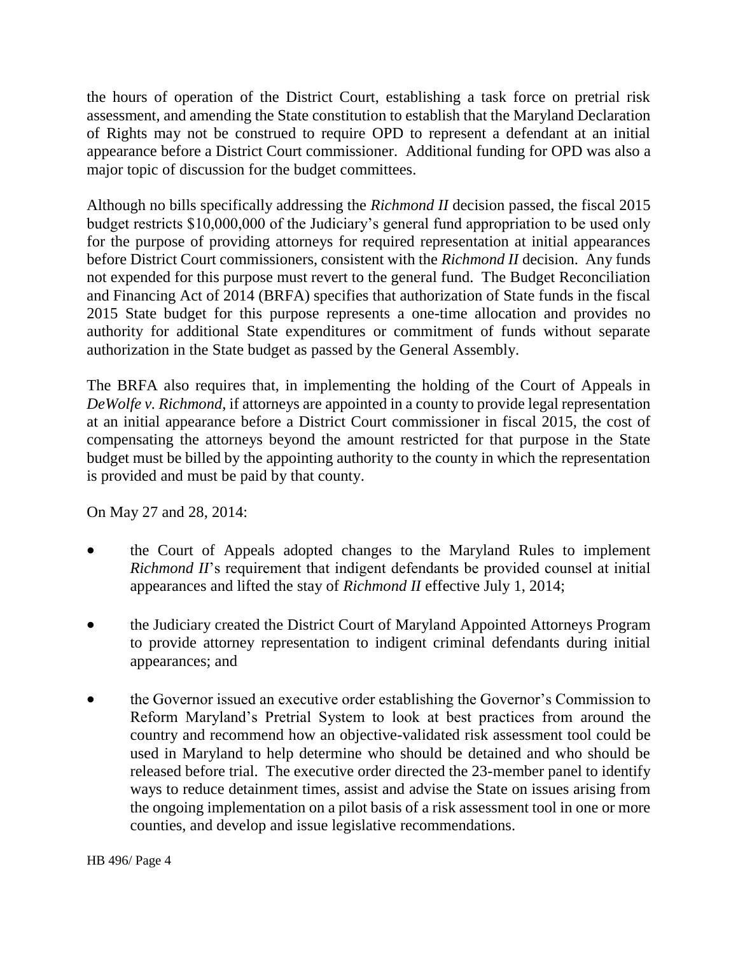the hours of operation of the District Court, establishing a task force on pretrial risk assessment, and amending the State constitution to establish that the Maryland Declaration of Rights may not be construed to require OPD to represent a defendant at an initial appearance before a District Court commissioner. Additional funding for OPD was also a major topic of discussion for the budget committees.

Although no bills specifically addressing the *Richmond II* decision passed, the fiscal 2015 budget restricts \$10,000,000 of the Judiciary's general fund appropriation to be used only for the purpose of providing attorneys for required representation at initial appearances before District Court commissioners, consistent with the *Richmond II* decision. Any funds not expended for this purpose must revert to the general fund. The Budget Reconciliation and Financing Act of 2014 (BRFA) specifies that authorization of State funds in the fiscal 2015 State budget for this purpose represents a one-time allocation and provides no authority for additional State expenditures or commitment of funds without separate authorization in the State budget as passed by the General Assembly.

The BRFA also requires that, in implementing the holding of the Court of Appeals in *DeWolfe v. Richmond*, if attorneys are appointed in a county to provide legal representation at an initial appearance before a District Court commissioner in fiscal 2015, the cost of compensating the attorneys beyond the amount restricted for that purpose in the State budget must be billed by the appointing authority to the county in which the representation is provided and must be paid by that county.

On May 27 and 28, 2014:

- the Court of Appeals adopted changes to the Maryland Rules to implement *Richmond II*'s requirement that indigent defendants be provided counsel at initial appearances and lifted the stay of *Richmond II* effective July 1, 2014;
- the Judiciary created the District Court of Maryland Appointed Attorneys Program to provide attorney representation to indigent criminal defendants during initial appearances; and
- the Governor issued an executive order establishing the Governor's Commission to Reform Maryland's Pretrial System to look at best practices from around the country and recommend how an objective-validated risk assessment tool could be used in Maryland to help determine who should be detained and who should be released before trial. The executive order directed the 23-member panel to identify ways to reduce detainment times, assist and advise the State on issues arising from the ongoing implementation on a pilot basis of a risk assessment tool in one or more counties, and develop and issue legislative recommendations.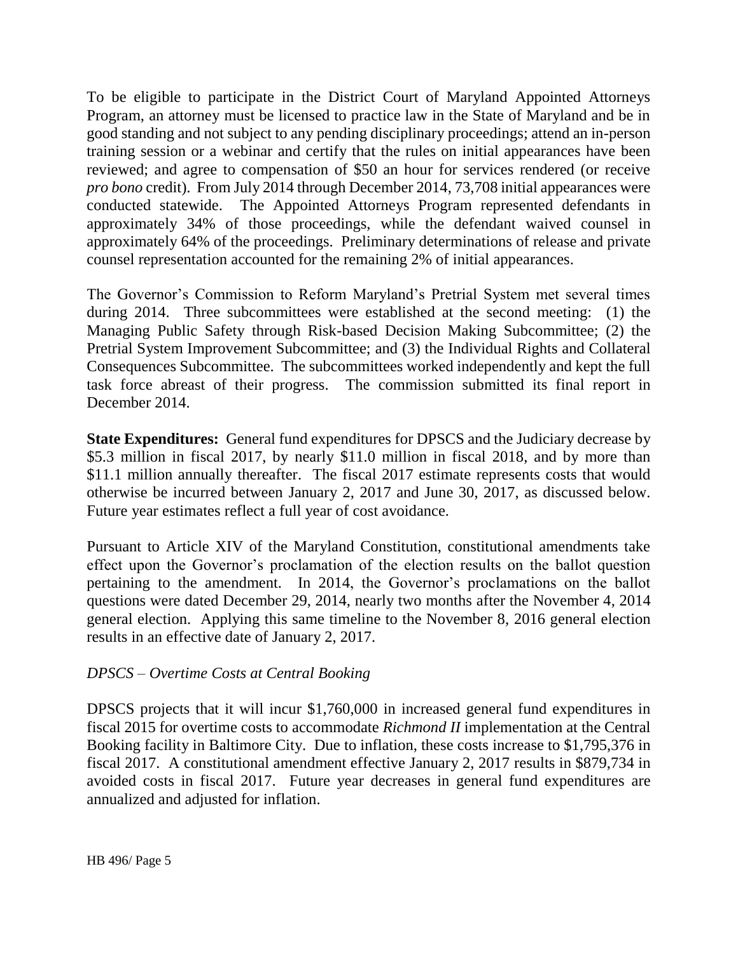To be eligible to participate in the District Court of Maryland Appointed Attorneys Program, an attorney must be licensed to practice law in the State of Maryland and be in good standing and not subject to any pending disciplinary proceedings; attend an in-person training session or a webinar and certify that the rules on initial appearances have been reviewed; and agree to compensation of \$50 an hour for services rendered (or receive *pro bono* credit). From July 2014 through December 2014, 73,708 initial appearances were conducted statewide. The Appointed Attorneys Program represented defendants in approximately 34% of those proceedings, while the defendant waived counsel in approximately 64% of the proceedings. Preliminary determinations of release and private counsel representation accounted for the remaining 2% of initial appearances.

The Governor's Commission to Reform Maryland's Pretrial System met several times during 2014. Three subcommittees were established at the second meeting: (1) the Managing Public Safety through Risk-based Decision Making Subcommittee; (2) the Pretrial System Improvement Subcommittee; and (3) the Individual Rights and Collateral Consequences Subcommittee. The subcommittees worked independently and kept the full task force abreast of their progress. The commission submitted its final report in December 2014.

**State Expenditures:** General fund expenditures for DPSCS and the Judiciary decrease by \$5.3 million in fiscal 2017, by nearly \$11.0 million in fiscal 2018, and by more than \$11.1 million annually thereafter. The fiscal 2017 estimate represents costs that would otherwise be incurred between January 2, 2017 and June 30, 2017, as discussed below. Future year estimates reflect a full year of cost avoidance.

Pursuant to Article XIV of the Maryland Constitution, constitutional amendments take effect upon the Governor's proclamation of the election results on the ballot question pertaining to the amendment. In 2014, the Governor's proclamations on the ballot questions were dated December 29, 2014, nearly two months after the November 4, 2014 general election. Applying this same timeline to the November 8, 2016 general election results in an effective date of January 2, 2017.

### *DPSCS – Overtime Costs at Central Booking*

DPSCS projects that it will incur \$1,760,000 in increased general fund expenditures in fiscal 2015 for overtime costs to accommodate *Richmond II* implementation at the Central Booking facility in Baltimore City. Due to inflation, these costs increase to \$1,795,376 in fiscal 2017. A constitutional amendment effective January 2, 2017 results in \$879,734 in avoided costs in fiscal 2017. Future year decreases in general fund expenditures are annualized and adjusted for inflation.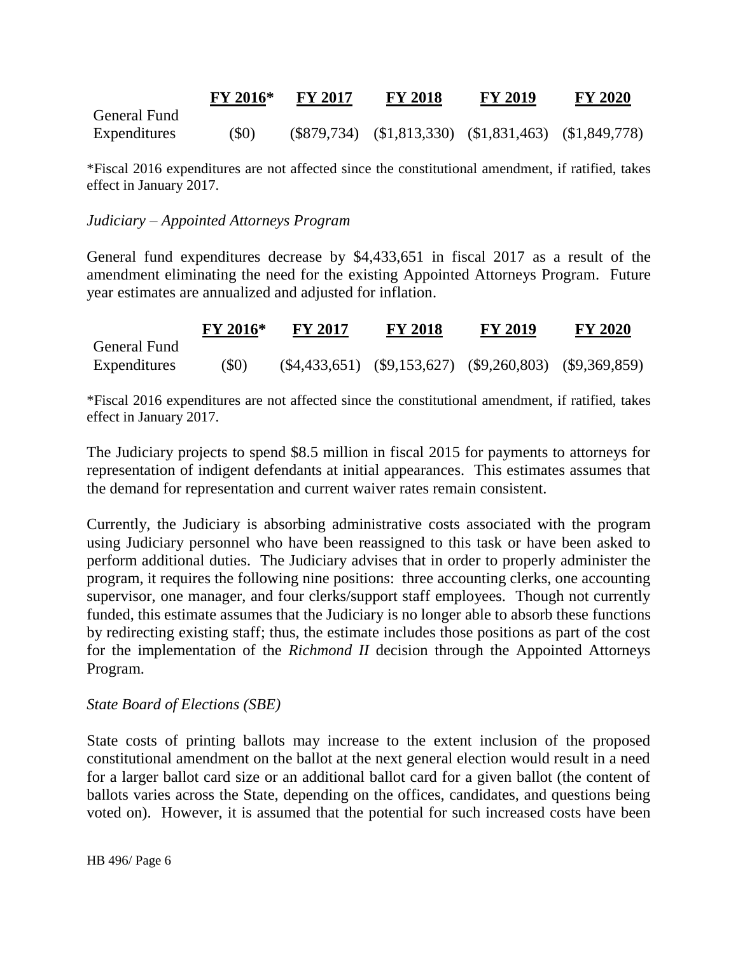|              | FY 2016* | <b>FY 2017</b> | <b>FY 2018</b>                                                | <b>FY 2019</b> | <b>FY 2020</b> |
|--------------|----------|----------------|---------------------------------------------------------------|----------------|----------------|
| General Fund |          |                |                                                               |                |                |
| Expenditures | (\$0)    |                | $(\$879,734)$ $(\$1,813,330)$ $(\$1,831,463)$ $(\$1,849,778)$ |                |                |

\*Fiscal 2016 expenditures are not affected since the constitutional amendment, if ratified, takes effect in January 2017.

#### *Judiciary – Appointed Attorneys Program*

General fund expenditures decrease by \$4,433,651 in fiscal 2017 as a result of the amendment eliminating the need for the existing Appointed Attorneys Program. Future year estimates are annualized and adjusted for inflation.

|              | <b>FY 2016*</b> | <b>FY 2017</b> | <b>FY 2018</b> | <b>FY 2019</b>                                                  | <b>FY 2020</b> |
|--------------|-----------------|----------------|----------------|-----------------------------------------------------------------|----------------|
| General Fund |                 |                |                |                                                                 |                |
| Expenditures | (S0)            |                |                | $(\$4,433,651)$ $(\$9,153,627)$ $(\$9,260,803)$ $(\$9,369,859)$ |                |

\*Fiscal 2016 expenditures are not affected since the constitutional amendment, if ratified, takes effect in January 2017.

The Judiciary projects to spend \$8.5 million in fiscal 2015 for payments to attorneys for representation of indigent defendants at initial appearances. This estimates assumes that the demand for representation and current waiver rates remain consistent.

Currently, the Judiciary is absorbing administrative costs associated with the program using Judiciary personnel who have been reassigned to this task or have been asked to perform additional duties. The Judiciary advises that in order to properly administer the program, it requires the following nine positions: three accounting clerks, one accounting supervisor, one manager, and four clerks/support staff employees. Though not currently funded, this estimate assumes that the Judiciary is no longer able to absorb these functions by redirecting existing staff; thus, the estimate includes those positions as part of the cost for the implementation of the *Richmond II* decision through the Appointed Attorneys Program.

#### *State Board of Elections (SBE)*

State costs of printing ballots may increase to the extent inclusion of the proposed constitutional amendment on the ballot at the next general election would result in a need for a larger ballot card size or an additional ballot card for a given ballot (the content of ballots varies across the State, depending on the offices, candidates, and questions being voted on). However, it is assumed that the potential for such increased costs have been